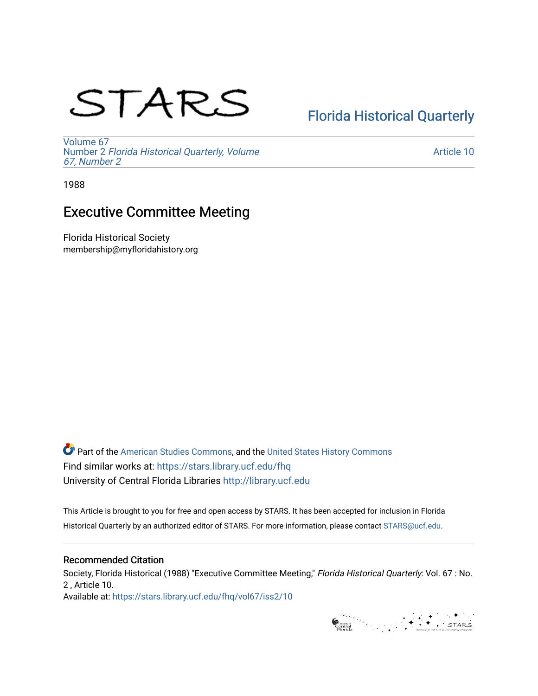# STARS

## [Florida Historical Quarterly](https://stars.library.ucf.edu/fhq)

[Volume 67](https://stars.library.ucf.edu/fhq/vol67) Number 2 [Florida Historical Quarterly, Volume](https://stars.library.ucf.edu/fhq/vol67/iss2)  [67, Number 2](https://stars.library.ucf.edu/fhq/vol67/iss2)

[Article 10](https://stars.library.ucf.edu/fhq/vol67/iss2/10) 

1988

### Executive Committee Meeting

Florida Historical Society membership@myfloridahistory.org

**C** Part of the [American Studies Commons](http://network.bepress.com/hgg/discipline/439?utm_source=stars.library.ucf.edu%2Ffhq%2Fvol67%2Fiss2%2F10&utm_medium=PDF&utm_campaign=PDFCoverPages), and the United States History Commons Find similar works at: <https://stars.library.ucf.edu/fhq> University of Central Florida Libraries [http://library.ucf.edu](http://library.ucf.edu/) 

This Article is brought to you for free and open access by STARS. It has been accepted for inclusion in Florida Historical Quarterly by an authorized editor of STARS. For more information, please contact [STARS@ucf.edu.](mailto:STARS@ucf.edu)

#### Recommended Citation

Society, Florida Historical (1988) "Executive Committee Meeting," Florida Historical Quarterly: Vol. 67 : No. 2 , Article 10. Available at: [https://stars.library.ucf.edu/fhq/vol67/iss2/10](https://stars.library.ucf.edu/fhq/vol67/iss2/10?utm_source=stars.library.ucf.edu%2Ffhq%2Fvol67%2Fiss2%2F10&utm_medium=PDF&utm_campaign=PDFCoverPages)

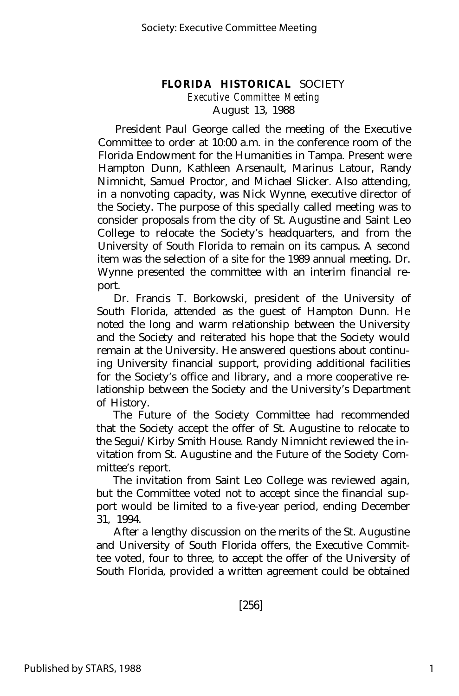#### **FLORIDA HISTORICAL** SOCIETY

*Executive Committee Meeting* August 13, 1988

President Paul George called the meeting of the Executive Committee to order at 10:00 a.m. in the conference room of the Florida Endowment for the Humanities in Tampa. Present were Hampton Dunn, Kathleen Arsenault, Marinus Latour, Randy Nimnicht, Samuel Proctor, and Michael Slicker. Also attending, in a nonvoting capacity, was Nick Wynne, executive director of the Society. The purpose of this specially called meeting was to consider proposals from the city of St. Augustine and Saint Leo College to relocate the Society's headquarters, and from the University of South Florida to remain on its campus. A second item was the selection of a site for the 1989 annual meeting. Dr. Wynne presented the committee with an interim financial report.

Dr. Francis T. Borkowski, president of the University of South Florida, attended as the guest of Hampton Dunn. He noted the long and warm relationship between the University and the Society and reiterated his hope that the Society would remain at the University. He answered questions about continuing University financial support, providing additional facilities for the Society's office and library, and a more cooperative relationship between the Society and the University's Department of History.

The Future of the Society Committee had recommended that the Society accept the offer of St. Augustine to relocate to the Segui/Kirby Smith House. Randy Nimnicht reviewed the invitation from St. Augustine and the Future of the Society Committee's report.

The invitation from Saint Leo College was reviewed again, but the Committee voted not to accept since the financial support would be limited to a five-year period, ending December 31, 1994.

After a lengthy discussion on the merits of the St. Augustine and University of South Florida offers, the Executive Committee voted, four to three, to accept the offer of the University of South Florida, provided a written agreement could be obtained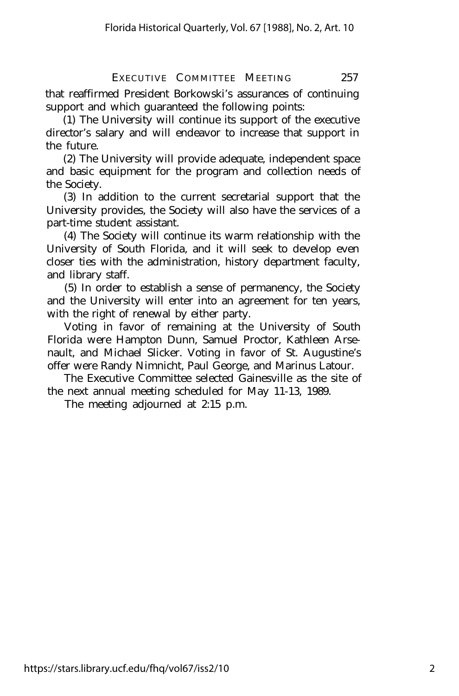EXECUTIVE COMMITTEE MEETING 257

that reaffirmed President Borkowski's assurances of continuing support and which guaranteed the following points:

(1) The University will continue its support of the executive director's salary and will endeavor to increase that support in the future.

(2) The University will provide adequate, independent space and basic equipment for the program and collection needs of the Society.

(3) In addition to the current secretarial support that the University provides, the Society will also have the services of a part-time student assistant.

(4) The Society will continue its warm relationship with the University of South Florida, and it will seek to develop even closer ties with the administration, history department faculty, and library staff.

(5) In order to establish a sense of permanency, the Society and the University will enter into an agreement for ten years, with the right of renewal by either party.

Voting in favor of remaining at the University of South Florida were Hampton Dunn, Samuel Proctor, Kathleen Arsenault, and Michael Slicker. Voting in favor of St. Augustine's offer were Randy Nimnicht, Paul George, and Marinus Latour.

The Executive Committee selected Gainesville as the site of the next annual meeting scheduled for May 11-13, 1989.

The meeting adjourned at 2:15 p.m.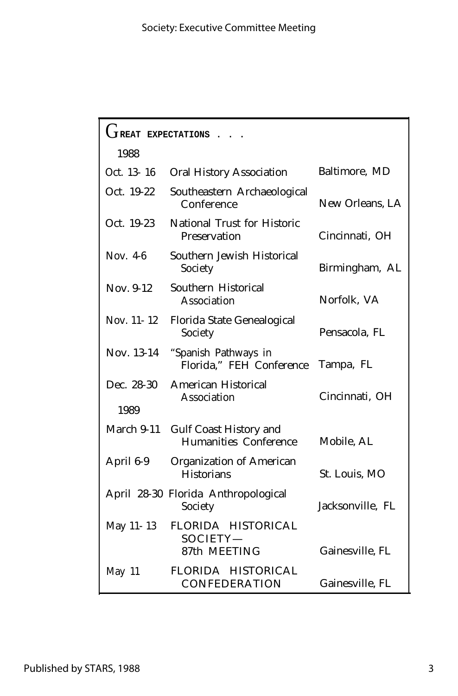| $\mathfrak l$ t <sub>reat</sub><br>EXPECTATIONS |                                                               |                  |
|-------------------------------------------------|---------------------------------------------------------------|------------------|
| 1988                                            |                                                               |                  |
| Oct. 13-16                                      | <b>Oral History Association</b>                               | Baltimore, MD    |
| Oct. 19-22                                      | Southeastern Archaeological<br>Conference                     | New Orleans, LA  |
| Oct. 19-23                                      | National Trust for Historic<br>Preservation                   | Cincinnati, OH   |
| Nov. $4-6$                                      | Southern Jewish Historical<br>Society                         | Birmingham, AL   |
| Nov. 9-12                                       | Southern Historical<br>Association                            | Norfolk, VA      |
| Nov. 11-12                                      | Florida State Genealogical<br>Society                         | Pensacola, FL    |
| Nov. 13-14                                      | "Spanish Pathways in<br>Florida," FEH Conference              | Tampa, FL        |
| Dec. 28-30<br>1989                              | <b>American Historical</b><br>Association                     | Cincinnati, OH   |
| March 9-11                                      | <b>Gulf Coast History and</b><br><b>Humanities Conference</b> | Mobile, AL       |
| April 6-9                                       | <b>Organization of American</b><br><b>Historians</b>          | St. Louis, MO    |
|                                                 | April 28-30 Florida Anthropological<br>Society                | Jacksonville, FL |
| May 11-13                                       | FLORIDA HISTORICAL<br>SOCIETY-<br>87th MEETING                | Gainesville, FL  |
| May 11                                          | FLORIDA HISTORICAL<br>CONFEDERATION                           | Gainesville, FL  |